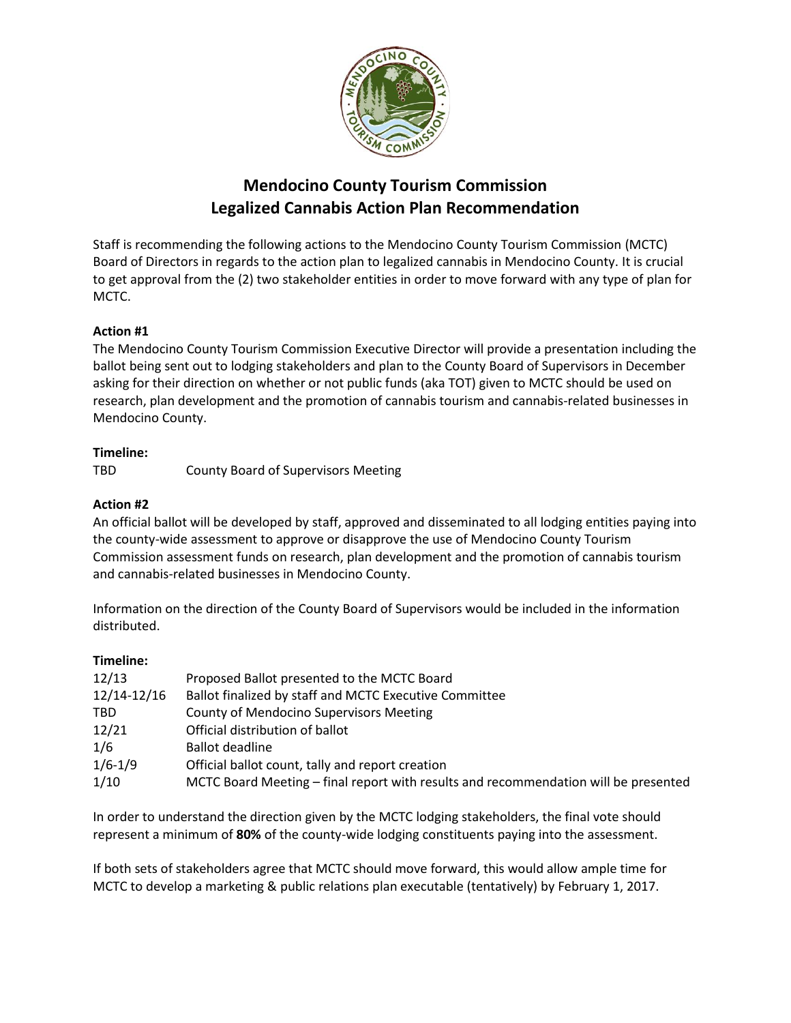

# **Mendocino County Tourism Commission Legalized Cannabis Action Plan Recommendation**

Staff is recommending the following actions to the Mendocino County Tourism Commission (MCTC) Board of Directors in regards to the action plan to legalized cannabis in Mendocino County. It is crucial to get approval from the (2) two stakeholder entities in order to move forward with any type of plan for MCTC.

#### **Action #1**

The Mendocino County Tourism Commission Executive Director will provide a presentation including the ballot being sent out to lodging stakeholders and plan to the County Board of Supervisors in December asking for their direction on whether or not public funds (aka TOT) given to MCTC should be used on research, plan development and the promotion of cannabis tourism and cannabis-related businesses in Mendocino County.

#### **Timeline:**

TBD County Board of Supervisors Meeting

#### **Action #2**

An official ballot will be developed by staff, approved and disseminated to all lodging entities paying into the county-wide assessment to approve or disapprove the use of Mendocino County Tourism Commission assessment funds on research, plan development and the promotion of cannabis tourism and cannabis-related businesses in Mendocino County.

Information on the direction of the County Board of Supervisors would be included in the information distributed.

#### **Timeline:**

| 12/13       | Proposed Ballot presented to the MCTC Board                                         |
|-------------|-------------------------------------------------------------------------------------|
| 12/14-12/16 | Ballot finalized by staff and MCTC Executive Committee                              |
| TBD.        | <b>County of Mendocino Supervisors Meeting</b>                                      |
| 12/21       | Official distribution of ballot                                                     |
| 1/6         | <b>Ballot deadline</b>                                                              |
| $1/6 - 1/9$ | Official ballot count, tally and report creation                                    |
| 1/10        | MCTC Board Meeting – final report with results and recommendation will be presented |

In order to understand the direction given by the MCTC lodging stakeholders, the final vote should represent a minimum of **80%** of the county-wide lodging constituents paying into the assessment.

If both sets of stakeholders agree that MCTC should move forward, this would allow ample time for MCTC to develop a marketing & public relations plan executable (tentatively) by February 1, 2017.